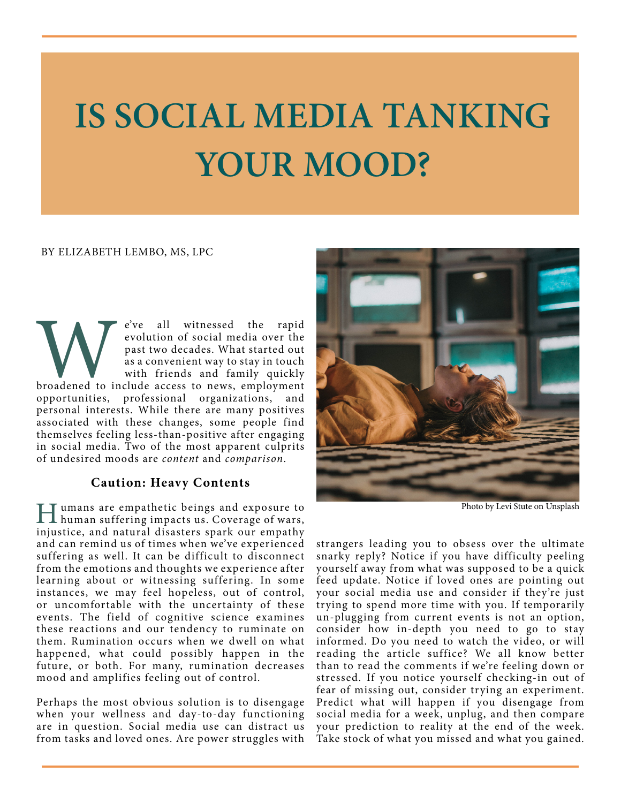# **IS SOCIAL MEDIA TANKING YOUR MOOD?**

#### BY ELIZABETH LEMBO, MS, LPC

We've all witnessed the rapid<br>
evolution of social media over the<br>
past two decades. What started out<br>
as a convenient way to stay in touch<br>
with friends and family quickly<br>
broadened to include access to news, employment<br> evolution of social media over the past two decades. What started out as a convenient way to stay in touch with friends and family quickly opportunities, professional organizations, and personal interests. While there are many positives associated with these changes, some people find themselves feeling less-than-positive after engaging in social media. Two of the most apparent culprits of undesired moods are *content* and *comparison*.

### **Caution: Heavy Contents**

Humans are empathetic beings and exposure to human suffering impacts us. Coverage of wars, injustice, and natural disasters spark our empathy and can remind us of times when we've experienced suffering as well. It can be difficult to disconnect from the emotions and thoughts we experience after learning about or witnessing suffering. In some instances, we may feel hopeless, out of control, or uncomfortable with the uncertainty of these events. The field of cognitive science examines these reactions and our tendency to ruminate on them. Rumination occurs when we dwell on what happened, what could possibly happen in the future, or both. For many, rumination decreases mood and amplifies feeling out of control.

Perhaps the most obvious solution is to disengage when your wellness and day-to-day functioning are in question. Social media use can distract us from tasks and loved ones. Are power struggles with



Photo by Levi Stute on Unsplash

strangers leading you to obsess over the ultimate snarky reply? Notice if you have difficulty peeling yourself away from what was supposed to be a quick feed update. Notice if loved ones are pointing out your social media use and consider if they're just trying to spend more time with you. If temporarily un-plugging from current events is not an option, consider how in-depth you need to go to stay informed. Do you need to watch the video, or will reading the article suffice? We all know better than to read the comments if we're feeling down or stressed. If you notice yourself checking-in out of fear of missing out, consider trying an experiment. Predict what will happen if you disengage from social media for a week, unplug, and then compare your prediction to reality at the end of the week. Take stock of what you missed and what you gained.